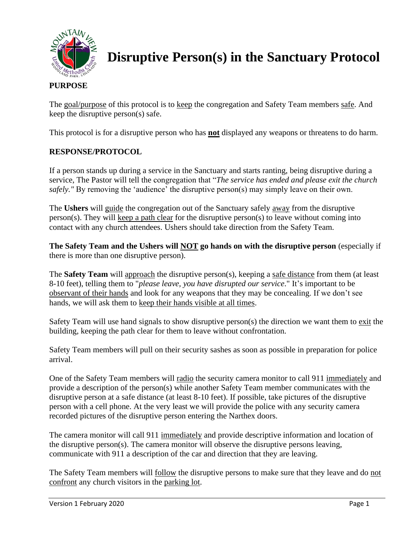

**Disruptive Person(s) in the Sanctuary Protocol**

## **PURPOSE**

The goal/purpose of this protocol is to keep the congregation and Safety Team members safe. And keep the disruptive person(s) safe.

This protocol is for a disruptive person who has **not** displayed any weapons or threatens to do harm.

## **RESPONSE/PROTOCOL**

If a person stands up during a service in the Sanctuary and starts ranting, being disruptive during a service, The Pastor will tell the congregation that "*The service has ended and please exit the church safely.* " By removing the 'audience' the disruptive person(s) may simply leave on their own.

The **Ushers** will guide the congregation out of the Sanctuary safely away from the disruptive person(s). They will keep a path clear for the disruptive person(s) to leave without coming into contact with any church attendees. Ushers should take direction from the Safety Team.

**The Safety Team and the Ushers will NOT go hands on with the disruptive person** (especially if there is more than one disruptive person).

The **Safety Team** will approach the disruptive person(s), keeping a safe distance from them (at least 8-10 feet), telling them to "*please leave, you have disrupted our service*." It's important to be observant of their hands and look for any weapons that they may be concealing. If we don't see hands, we will ask them to keep their hands visible at all times.

Safety Team will use hand signals to show disruptive person(s) the direction we want them to exit the building, keeping the path clear for them to leave without confrontation.

Safety Team members will pull on their security sashes as soon as possible in preparation for police arrival.

One of the Safety Team members will radio the security camera monitor to call 911 immediately and provide a description of the person(s) while another Safety Team member communicates with the disruptive person at a safe distance (at least 8-10 feet). If possible, take pictures of the disruptive person with a cell phone. At the very least we will provide the police with any security camera recorded pictures of the disruptive person entering the Narthex doors.

The camera monitor will call 911 immediately and provide descriptive information and location of the disruptive person(s). The camera monitor will observe the disruptive persons leaving, communicate with 911 a description of the car and direction that they are leaving.

The Safety Team members will follow the disruptive persons to make sure that they leave and do not confront any church visitors in the parking lot.